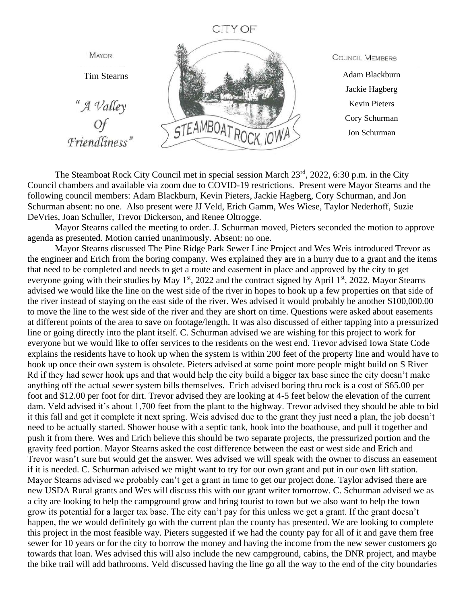## **CITY OF**



**COUNCIL MEMBERS** 

Adam Blackburn Jackie Hagberg Kevin Pieters Cory Schurman Jon Schurman

The Steamboat Rock City Council met in special session March 23<sup>rd</sup>, 2022, 6:30 p.m. in the City Council chambers and available via zoom due to COVID-19 restrictions. Present were Mayor Stearns and the following council members: Adam Blackburn, Kevin Pieters, Jackie Hagberg, Cory Schurman, and Jon Schurman absent: no one. Also present were JJ Veld, Erich Gamm, Wes Wiese, Taylor Nederhoff, Suzie DeVries, Joan Schuller, Trevor Dickerson, and Renee Oltrogge.

Mayor Stearns called the meeting to order. J. Schurman moved, Pieters seconded the motion to approve agenda as presented. Motion carried unanimously. Absent: no one.

Mayor Stearns discussed The Pine Ridge Park Sewer Line Project and Wes Weis introduced Trevor as the engineer and Erich from the boring company. Wes explained they are in a hurry due to a grant and the items that need to be completed and needs to get a route and easement in place and approved by the city to get everyone going with their studies by May 1<sup>st</sup>, 2022 and the contract signed by April 1<sup>st</sup>, 2022. Mayor Stearns advised we would like the line on the west side of the river in hopes to hook up a few properties on that side of the river instead of staying on the east side of the river. Wes advised it would probably be another \$100,000.00 to move the line to the west side of the river and they are short on time. Questions were asked about easements at different points of the area to save on footage/length. It was also discussed of either tapping into a pressurized line or going directly into the plant itself. C. Schurman advised we are wishing for this project to work for everyone but we would like to offer services to the residents on the west end. Trevor advised Iowa State Code explains the residents have to hook up when the system is within 200 feet of the property line and would have to hook up once their own system is obsolete. Pieters advised at some point more people might build on S River Rd if they had sewer hook ups and that would help the city build a bigger tax base since the city doesn't make anything off the actual sewer system bills themselves. Erich advised boring thru rock is a cost of \$65.00 per foot and \$12.00 per foot for dirt. Trevor advised they are looking at 4-5 feet below the elevation of the current dam. Veld advised it's about 1,700 feet from the plant to the highway. Trevor advised they should be able to bid it this fall and get it complete it next spring. Weis advised due to the grant they just need a plan, the job doesn't need to be actually started. Shower house with a septic tank, hook into the boathouse, and pull it together and push it from there. Wes and Erich believe this should be two separate projects, the pressurized portion and the gravity feed portion. Mayor Stearns asked the cost difference between the east or west side and Erich and Trevor wasn't sure but would get the answer. Wes advised we will speak with the owner to discuss an easement if it is needed. C. Schurman advised we might want to try for our own grant and put in our own lift station. Mayor Stearns advised we probably can't get a grant in time to get our project done. Taylor advised there are new USDA Rural grants and Wes will discuss this with our grant writer tomorrow. C. Schurman advised we as a city are looking to help the campground grow and bring tourist to town but we also want to help the town grow its potential for a larger tax base. The city can't pay for this unless we get a grant. If the grant doesn't happen, the we would definitely go with the current plan the county has presented. We are looking to complete this project in the most feasible way. Pieters suggested if we had the county pay for all of it and gave them free sewer for 10 years or for the city to borrow the money and having the income from the new sewer customers go towards that loan. Wes advised this will also include the new campground, cabins, the DNR project, and maybe the bike trail will add bathrooms. Veld discussed having the line go all the way to the end of the city boundaries